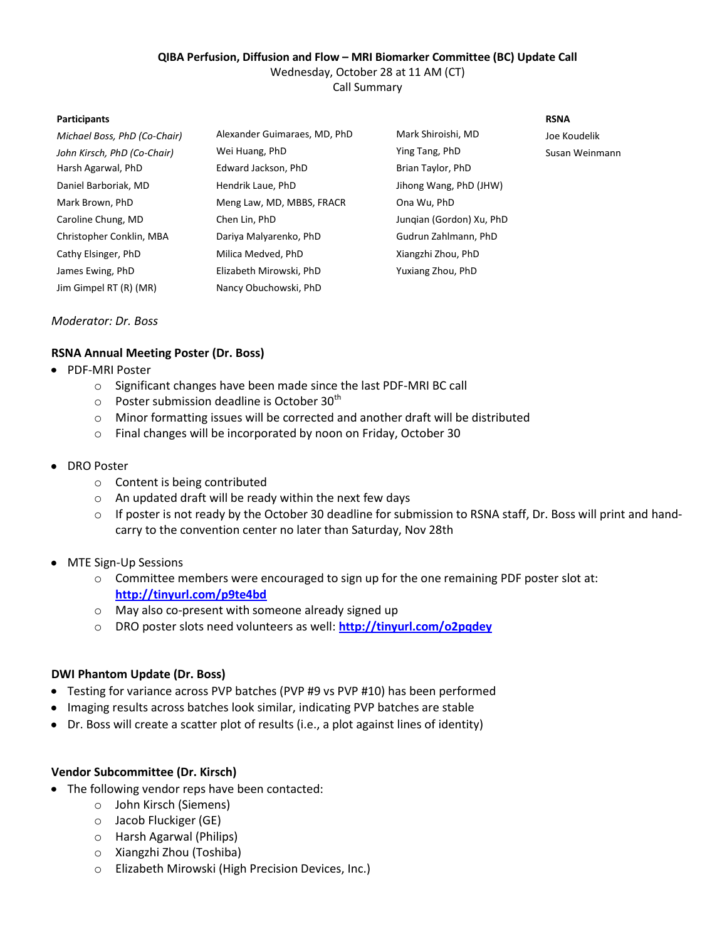# **QIBA Perfusion, Diffusion and Flow – MRI Biomarker Committee (BC) Update Call**

Wednesday, October 28 at 11 AM (CT)

Call Summary

#### **Participants RSNA**

| Michael Boss, PhD (Co-Chair) | Alexander Guimaraes, MD, PhD | Mark Shiroishi, MD       | Joe Koudelik   |
|------------------------------|------------------------------|--------------------------|----------------|
| John Kirsch, PhD (Co-Chair)  | Wei Huang, PhD               | Ying Tang, PhD           | Susan Weinmann |
| Harsh Agarwal, PhD           | Edward Jackson, PhD          | Brian Taylor, PhD        |                |
| Daniel Barboriak, MD         | Hendrik Laue, PhD            | Jihong Wang, PhD (JHW)   |                |
| Mark Brown, PhD              | Meng Law, MD, MBBS, FRACR    | Ona Wu, PhD              |                |
| Caroline Chung, MD           | Chen Lin, PhD                | Jungian (Gordon) Xu, PhD |                |
| Christopher Conklin, MBA     | Dariya Malyarenko, PhD       | Gudrun Zahlmann, PhD     |                |
| Cathy Elsinger, PhD          | Milica Medved, PhD           | Xiangzhi Zhou, PhD       |                |
| James Ewing, PhD             | Elizabeth Mirowski, PhD      | Yuxiang Zhou, PhD        |                |
| Jim Gimpel RT (R) (MR)       | Nancy Obuchowski, PhD        |                          |                |

#### *Moderator: Dr. Boss*

## **RSNA Annual Meeting Poster (Dr. Boss)**

- PDF-MRI Poster
	- o Significant changes have been made since the last PDF-MRI BC call
	- $\circ$  Poster submission deadline is October 30<sup>th</sup>
	- $\circ$  Minor formatting issues will be corrected and another draft will be distributed
	- o Final changes will be incorporated by noon on Friday, October 30
- DRO Poster
	- o Content is being contributed
	- o An updated draft will be ready within the next few days
	- $\circ$  If poster is not ready by the October 30 deadline for submission to RSNA staff, Dr. Boss will print and handcarry to the convention center no later than Saturday, Nov 28th
- MTE Sign-Up Sessions
	- $\circ$  Committee members were encouraged to sign up for the one remaining PDF poster slot at: **<http://tinyurl.com/p9te4bd>**
	- o May also co-present with someone already signed up
	- o DRO poster slots need volunteers as well: **<http://tinyurl.com/o2pqdey>**

## **DWI Phantom Update (Dr. Boss)**

- Testing for variance across PVP batches (PVP #9 vs PVP #10) has been performed
- Imaging results across batches look similar, indicating PVP batches are stable
- Dr. Boss will create a scatter plot of results (i.e., a plot against lines of identity)

## **Vendor Subcommittee (Dr. Kirsch)**

- The following vendor reps have been contacted:
	- o John Kirsch (Siemens)
	- o Jacob Fluckiger (GE)
	- o Harsh Agarwal (Philips)
	- o Xiangzhi Zhou (Toshiba)
	- o Elizabeth Mirowski (High Precision Devices, Inc.)